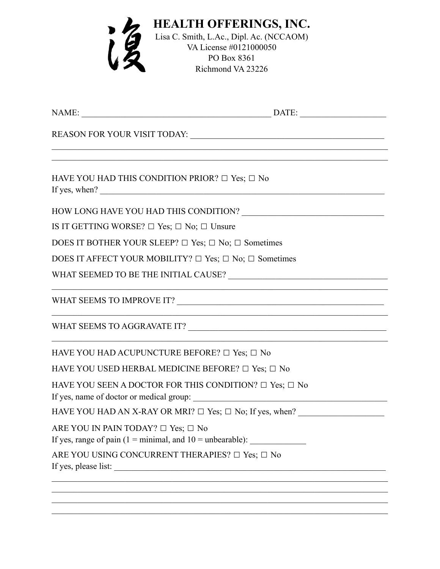| <b>HEALTH OFFERINGS, INC.</b><br>Lisa C. Smith, L.Ac., Dipl. Ac. (NCCAOM)<br>VA License #0121000050<br>PO Box 8361<br>Richmond VA 23226                                                                           |
|-------------------------------------------------------------------------------------------------------------------------------------------------------------------------------------------------------------------|
|                                                                                                                                                                                                                   |
|                                                                                                                                                                                                                   |
| <u> 1989 - Johann Stein, marwolaethau a bhann an t-Amhair an t-Amhair an t-Amhair an t-Amhair an t-Amhair an t-A</u><br>HAVE YOU HAD THIS CONDITION PRIOR? $\Box$ Yes; $\Box$ No<br>If yes, when? $\qquad \qquad$ |
|                                                                                                                                                                                                                   |
| IS IT GETTING WORSE? $\Box$ Yes; $\Box$ No; $\Box$ Unsure                                                                                                                                                         |
| DOES IT BOTHER YOUR SLEEP? $\Box$ Yes; $\Box$ No; $\Box$ Sometimes                                                                                                                                                |
| DOES IT AFFECT YOUR MOBILITY? $\Box$ Yes; $\Box$ No; $\Box$ Sometimes                                                                                                                                             |
|                                                                                                                                                                                                                   |
|                                                                                                                                                                                                                   |
| WHAT SEEMS TO AGGRAVATE IT?                                                                                                                                                                                       |
| HAVE YOU HAD ACUPUNCTURE BEFORE? □ Yes; □ No                                                                                                                                                                      |
| HAVE YOU USED HERBAL MEDICINE BEFORE? □ Yes; □ No                                                                                                                                                                 |
| HAVE YOU SEEN A DOCTOR FOR THIS CONDITION? $\Box$ Yes; $\Box$ No<br>If yes, name of doctor or medical group:                                                                                                      |
| HAVE YOU HAD AN X-RAY OR MRI? □ Yes; □ No; If yes, when? _______________________                                                                                                                                  |
| ARE YOU IN PAIN TODAY? $\Box$ Yes; $\Box$ No<br>If yes, range of pain $(1 = \text{minimal}, \text{and } 10 = \text{unbearable})$ :                                                                                |
| ARE YOU USING CONCURRENT THERAPIES? □ Yes; □ No                                                                                                                                                                   |
|                                                                                                                                                                                                                   |

 $\mathcal{L}_\text{max}$  , and the contribution of the contribution of the contribution of the contribution of the contribution of the contribution of the contribution of the contribution of the contribution of the contribution of t